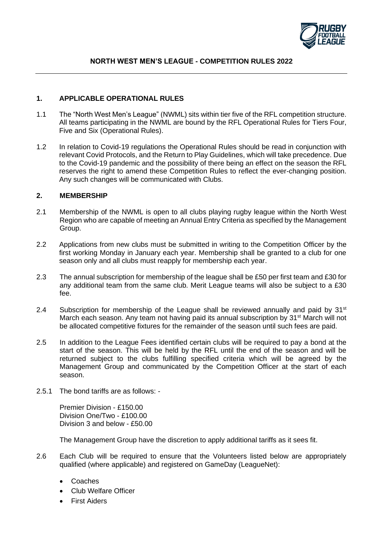

#### **1. APPLICABLE OPERATIONAL RULES**

- 1.1 The "North West Men's League" (NWML) sits within tier five of the RFL competition structure. All teams participating in the NWML are bound by the RFL Operational Rules for Tiers Four, Five and Six (Operational Rules).
- 1.2 In relation to Covid-19 regulations the Operational Rules should be read in conjunction with relevant Covid Protocols, and the Return to Play Guidelines, which will take precedence. Due to the Covid-19 pandemic and the possibility of there being an effect on the season the RFL reserves the right to amend these Competition Rules to reflect the ever-changing position. Any such changes will be communicated with Clubs.

#### **2. MEMBERSHIP**

- 2.1 Membership of the NWML is open to all clubs playing rugby league within the North West Region who are capable of meeting an Annual Entry Criteria as specified by the Management Group.
- 2.2 Applications from new clubs must be submitted in writing to the Competition Officer by the first working Monday in January each year. Membership shall be granted to a club for one season only and all clubs must reapply for membership each year.
- 2.3 The annual subscription for membership of the league shall be £50 per first team and £30 for any additional team from the same club. Merit League teams will also be subject to a £30 fee.
- 2.4 Subscription for membership of the League shall be reviewed annually and paid by  $31<sup>st</sup>$ March each season. Any team not having paid its annual subscription by  $31<sup>st</sup>$  March will not be allocated competitive fixtures for the remainder of the season until such fees are paid.
- 2.5 In addition to the League Fees identified certain clubs will be required to pay a bond at the start of the season. This will be held by the RFL until the end of the season and will be returned subject to the clubs fulfilling specified criteria which will be agreed by the Management Group and communicated by the Competition Officer at the start of each season.
- 2.5.1 The bond tariffs are as follows: -

Premier Division - £150.00 Division One/Two - £100.00 Division 3 and below - £50.00

The Management Group have the discretion to apply additional tariffs as it sees fit.

- 2.6 Each Club will be required to ensure that the Volunteers listed below are appropriately qualified (where applicable) and registered on GameDay (LeagueNet):
	- Coaches
	- Club Welfare Officer
	- **First Aiders**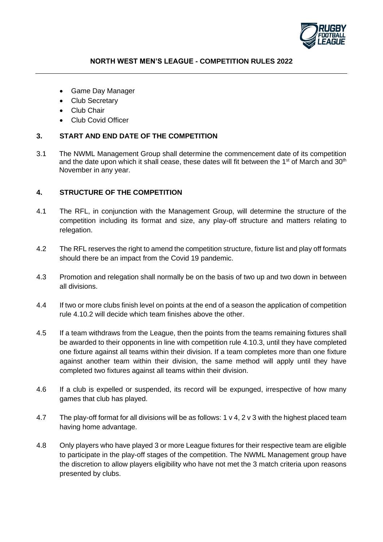

- Game Day Manager
- Club Secretary
- Club Chair
- Club Covid Officer

# **3. START AND END DATE OF THE COMPETITION**

3.1 The NWML Management Group shall determine the commencement date of its competition and the date upon which it shall cease, these dates will fit between the 1<sup>st</sup> of March and 30<sup>th</sup> November in any year.

# **4. STRUCTURE OF THE COMPETITION**

- 4.1 The RFL, in conjunction with the Management Group, will determine the structure of the competition including its format and size, any play-off structure and matters relating to relegation.
- 4.2 The RFL reserves the right to amend the competition structure, fixture list and play off formats should there be an impact from the Covid 19 pandemic.
- 4.3 Promotion and relegation shall normally be on the basis of two up and two down in between all divisions.
- 4.4 If two or more clubs finish level on points at the end of a season the application of competition rule 4.10.2 will decide which team finishes above the other.
- 4.5 If a team withdraws from the League, then the points from the teams remaining fixtures shall be awarded to their opponents in line with competition rule 4.10.3, until they have completed one fixture against all teams within their division. If a team completes more than one fixture against another team within their division, the same method will apply until they have completed two fixtures against all teams within their division.
- 4.6 If a club is expelled or suspended, its record will be expunged, irrespective of how many games that club has played.
- 4.7 The play-off format for all divisions will be as follows: 1 v 4, 2 v 3 with the highest placed team having home advantage.
- 4.8 Only players who have played 3 or more League fixtures for their respective team are eligible to participate in the play-off stages of the competition. The NWML Management group have the discretion to allow players eligibility who have not met the 3 match criteria upon reasons presented by clubs.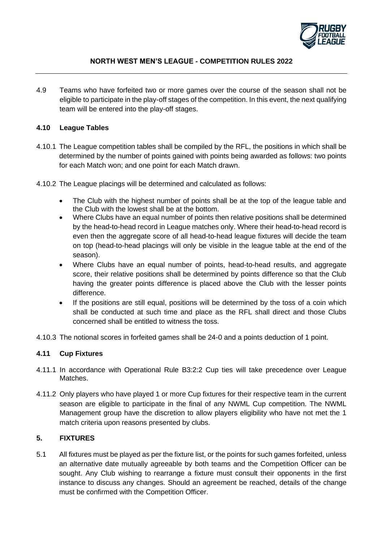

4.9 Teams who have forfeited two or more games over the course of the season shall not be eligible to participate in the play-off stages of the competition. In this event, the next qualifying team will be entered into the play-off stages.

## **4.10 League Tables**

- 4.10.1 The League competition tables shall be compiled by the RFL, the positions in which shall be determined by the number of points gained with points being awarded as follows: two points for each Match won; and one point for each Match drawn.
- 4.10.2 The League placings will be determined and calculated as follows:
	- The Club with the highest number of points shall be at the top of the league table and the Club with the lowest shall be at the bottom.
	- Where Clubs have an equal number of points then relative positions shall be determined by the head-to-head record in League matches only. Where their head-to-head record is even then the aggregate score of all head-to-head league fixtures will decide the team on top (head-to-head placings will only be visible in the league table at the end of the season).
	- Where Clubs have an equal number of points, head-to-head results, and aggregate score, their relative positions shall be determined by points difference so that the Club having the greater points difference is placed above the Club with the lesser points difference.
	- If the positions are still equal, positions will be determined by the toss of a coin which shall be conducted at such time and place as the RFL shall direct and those Clubs concerned shall be entitled to witness the toss.
- 4.10.3 The notional scores in forfeited games shall be 24-0 and a points deduction of 1 point.

# **4.11 Cup Fixtures**

- 4.11.1 In accordance with Operational Rule B3:2:2 Cup ties will take precedence over League **Matches**
- 4.11.2 Only players who have played 1 or more Cup fixtures for their respective team in the current season are eligible to participate in the final of any NWML Cup competition. The NWML Management group have the discretion to allow players eligibility who have not met the 1 match criteria upon reasons presented by clubs.

## **5. FIXTURES**

5.1 All fixtures must be played as per the fixture list, or the points for such games forfeited, unless an alternative date mutually agreeable by both teams and the Competition Officer can be sought. Any Club wishing to rearrange a fixture must consult their opponents in the first instance to discuss any changes. Should an agreement be reached, details of the change must be confirmed with the Competition Officer.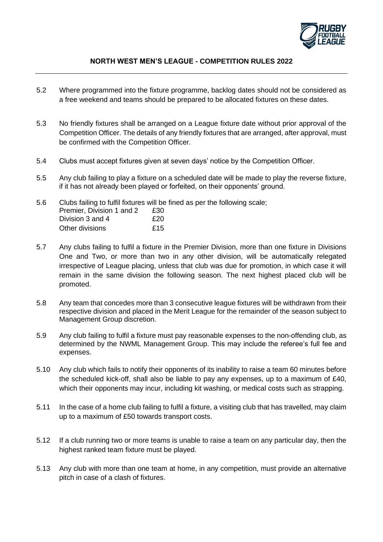

- 5.2 Where programmed into the fixture programme, backlog dates should not be considered as a free weekend and teams should be prepared to be allocated fixtures on these dates.
- 5.3 No friendly fixtures shall be arranged on a League fixture date without prior approval of the Competition Officer. The details of any friendly fixtures that are arranged, after approval, must be confirmed with the Competition Officer.
- 5.4 Clubs must accept fixtures given at seven days' notice by the Competition Officer.
- 5.5 Any club failing to play a fixture on a scheduled date will be made to play the reverse fixture, if it has not already been played or forfeited, on their opponents' ground.
- 5.6 Clubs failing to fulfil fixtures will be fined as per the following scale; Premier, Division 1 and 2 £30 Division 3 and 4 **£20** Other divisions 615
- 5.7 Any clubs failing to fulfil a fixture in the Premier Division, more than one fixture in Divisions One and Two, or more than two in any other division, will be automatically relegated irrespective of League placing, unless that club was due for promotion, in which case it will remain in the same division the following season. The next highest placed club will be promoted.
- 5.8 Any team that concedes more than 3 consecutive league fixtures will be withdrawn from their respective division and placed in the Merit League for the remainder of the season subject to Management Group discretion.
- 5.9 Any club failing to fulfil a fixture must pay reasonable expenses to the non-offending club, as determined by the NWML Management Group. This may include the referee's full fee and expenses.
- 5.10 Any club which fails to notify their opponents of its inability to raise a team 60 minutes before the scheduled kick-off, shall also be liable to pay any expenses, up to a maximum of £40, which their opponents may incur, including kit washing, or medical costs such as strapping.
- 5.11 In the case of a home club failing to fulfil a fixture, a visiting club that has travelled, may claim up to a maximum of £50 towards transport costs.
- 5.12 If a club running two or more teams is unable to raise a team on any particular day, then the highest ranked team fixture must be played.
- 5.13 Any club with more than one team at home, in any competition, must provide an alternative pitch in case of a clash of fixtures.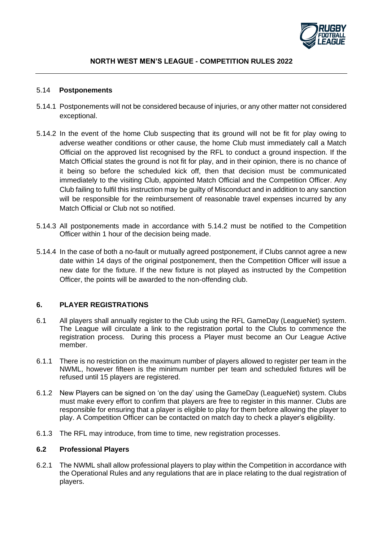

#### 5.14 **Postponements**

- 5.14.1 Postponements will not be considered because of injuries, or any other matter not considered exceptional.
- 5.14.2 In the event of the home Club suspecting that its ground will not be fit for play owing to adverse weather conditions or other cause, the home Club must immediately call a Match Official on the approved list recognised by the RFL to conduct a ground inspection. If the Match Official states the ground is not fit for play, and in their opinion, there is no chance of it being so before the scheduled kick off, then that decision must be communicated immediately to the visiting Club, appointed Match Official and the Competition Officer. Any Club failing to fulfil this instruction may be guilty of Misconduct and in addition to any sanction will be responsible for the reimbursement of reasonable travel expenses incurred by any Match Official or Club not so notified.
- 5.14.3 All postponements made in accordance with 5.14.2 must be notified to the Competition Officer within 1 hour of the decision being made.
- 5.14.4 In the case of both a no-fault or mutually agreed postponement, if Clubs cannot agree a new date within 14 days of the original postponement, then the Competition Officer will issue a new date for the fixture. If the new fixture is not played as instructed by the Competition Officer, the points will be awarded to the non-offending club.

### **6. PLAYER REGISTRATIONS**

- 6.1 All players shall annually register to the Club using the RFL GameDay (LeagueNet) system. The League will circulate a link to the registration portal to the Clubs to commence the registration process. During this process a Player must become an Our League Active member.
- 6.1.1 There is no restriction on the maximum number of players allowed to register per team in the NWML, however fifteen is the minimum number per team and scheduled fixtures will be refused until 15 players are registered.
- 6.1.2 New Players can be signed on 'on the day' using the GameDay (LeagueNet) system. Clubs must make every effort to confirm that players are free to register in this manner. Clubs are responsible for ensuring that a player is eligible to play for them before allowing the player to play. A Competition Officer can be contacted on match day to check a player's eligibility.
- 6.1.3 The RFL may introduce, from time to time, new registration processes.

### **6.2 Professional Players**

6.2.1 The NWML shall allow professional players to play within the Competition in accordance with the Operational Rules and any regulations that are in place relating to the dual registration of players.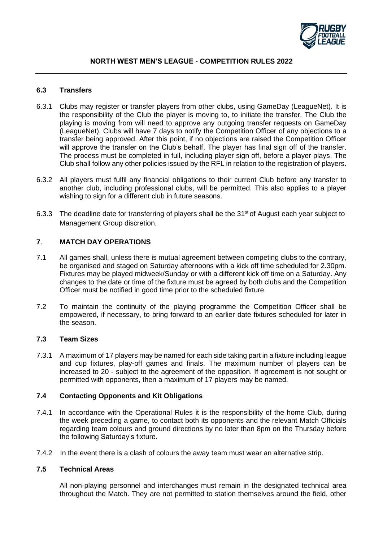

#### **6.3 Transfers**

- 6.3.1 Clubs may register or transfer players from other clubs, using GameDay (LeagueNet). It is the responsibility of the Club the player is moving to, to initiate the transfer. The Club the playing is moving from will need to approve any outgoing transfer requests on GameDay (LeagueNet). Clubs will have 7 days to notify the Competition Officer of any objections to a transfer being approved. After this point, if no objections are raised the Competition Officer will approve the transfer on the Club's behalf. The player has final sign off of the transfer. The process must be completed in full, including player sign off, before a player plays. The Club shall follow any other policies issued by the RFL in relation to the registration of players.
- 6.3.2 All players must fulfil any financial obligations to their current Club before any transfer to another club, including professional clubs, will be permitted. This also applies to a player wishing to sign for a different club in future seasons.
- 6.3.3 The deadline date for transferring of players shall be the 31<sup>st</sup> of August each year subject to Management Group discretion.

## **7**. **MATCH DAY OPERATIONS**

- 7.1 All games shall, unless there is mutual agreement between competing clubs to the contrary, be organised and staged on Saturday afternoons with a kick off time scheduled for 2.30pm. Fixtures may be played midweek/Sunday or with a different kick off time on a Saturday. Any changes to the date or time of the fixture must be agreed by both clubs and the Competition Officer must be notified in good time prior to the scheduled fixture.
- 7.2 To maintain the continuity of the playing programme the Competition Officer shall be empowered, if necessary, to bring forward to an earlier date fixtures scheduled for later in the season.

## **7.3 Team Sizes**

7.3.1 A maximum of 17 players may be named for each side taking part in a fixture including league and cup fixtures, play-off games and finals. The maximum number of players can be increased to 20 - subject to the agreement of the opposition. If agreement is not sought or permitted with opponents, then a maximum of 17 players may be named.

### **7.4 Contacting Opponents and Kit Obligations**

- 7.4.1 In accordance with the Operational Rules it is the responsibility of the home Club, during the week preceding a game, to contact both its opponents and the relevant Match Officials regarding team colours and ground directions by no later than 8pm on the Thursday before the following Saturday's fixture.
- 7.4.2 In the event there is a clash of colours the away team must wear an alternative strip.

### **7.5 Technical Areas**

All non-playing personnel and interchanges must remain in the designated technical area throughout the Match. They are not permitted to station themselves around the field, other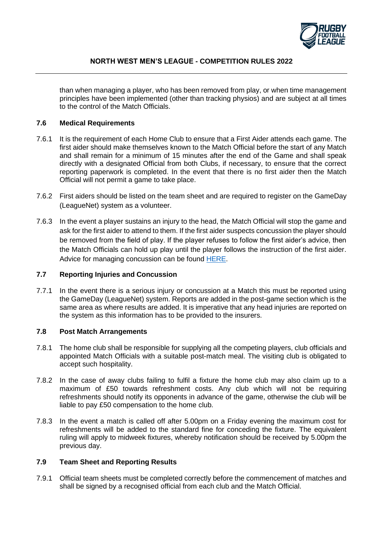

than when managing a player, who has been removed from play, or when time management principles have been implemented (other than tracking physios) and are subject at all times to the control of the Match Officials.

#### **7.6 Medical Requirements**

- 7.6.1 It is the requirement of each Home Club to ensure that a First Aider attends each game. The first aider should make themselves known to the Match Official before the start of any Match and shall remain for a minimum of 15 minutes after the end of the Game and shall speak directly with a designated Official from both Clubs, if necessary, to ensure that the correct reporting paperwork is completed. In the event that there is no first aider then the Match Official will not permit a game to take place.
- 7.6.2 First aiders should be listed on the team sheet and are required to register on the GameDay (LeagueNet) system as a volunteer.
- 7.6.3 In the event a player sustains an injury to the head, the Match Official will stop the game and ask for the first aider to attend to them. If the first aider suspects concussion the player should be removed from the field of play. If the player refuses to follow the first aider's advice, then the Match Officials can hold up play until the player follows the instruction of the first aider. Advice for managing concussion can be found [HERE.](https://www.rugby-league.com/governance/medical/concussion)

#### **7.7 Reporting Injuries and Concussion**

7.7.1 In the event there is a serious injury or concussion at a Match this must be reported using the GameDay (LeagueNet) system. Reports are added in the post-game section which is the same area as where results are added. It is imperative that any head injuries are reported on the system as this information has to be provided to the insurers.

#### **7.8 Post Match Arrangements**

- 7.8.1 The home club shall be responsible for supplying all the competing players, club officials and appointed Match Officials with a suitable post-match meal. The visiting club is obligated to accept such hospitality.
- 7.8.2 In the case of away clubs failing to fulfil a fixture the home club may also claim up to a maximum of £50 towards refreshment costs. Any club which will not be requiring refreshments should notify its opponents in advance of the game, otherwise the club will be liable to pay £50 compensation to the home club.
- 7.8.3 In the event a match is called off after 5.00pm on a Friday evening the maximum cost for refreshments will be added to the standard fine for conceding the fixture. The equivalent ruling will apply to midweek fixtures, whereby notification should be received by 5.00pm the previous day.

## **7.9 Team Sheet and Reporting Results**

7.9.1 Official team sheets must be completed correctly before the commencement of matches and shall be signed by a recognised official from each club and the Match Official.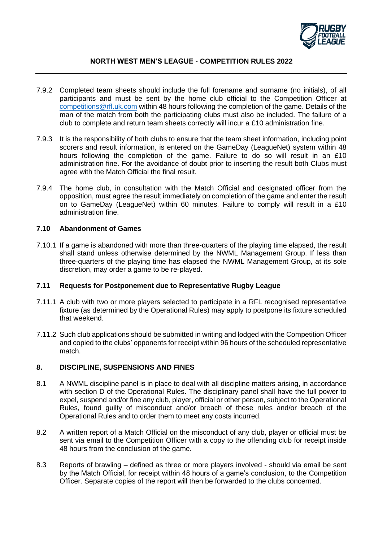

- 7.9.2 Completed team sheets should include the full forename and surname (no initials), of all participants and must be sent by the home club official to the Competition Officer at [competitions@rfl.uk.com](mailto:competitions@rfl.uk.com) within 48 hours following the completion of the game. Details of the man of the match from both the participating clubs must also be included. The failure of a club to complete and return team sheets correctly will incur a £10 administration fine.
- 7.9.3 It is the responsibility of both clubs to ensure that the team sheet information, including point scorers and result information, is entered on the GameDay (LeagueNet) system within 48 hours following the completion of the game. Failure to do so will result in an £10 administration fine. For the avoidance of doubt prior to inserting the result both Clubs must agree with the Match Official the final result.
- 7.9.4 The home club, in consultation with the Match Official and designated officer from the opposition, must agree the result immediately on completion of the game and enter the result on to GameDay (LeagueNet) within 60 minutes. Failure to comply will result in a £10 administration fine.

#### **7.10 Abandonment of Games**

7.10.1 If a game is abandoned with more than three-quarters of the playing time elapsed, the result shall stand unless otherwise determined by the NWML Management Group. If less than three-quarters of the playing time has elapsed the NWML Management Group, at its sole discretion, may order a game to be re-played.

#### **7.11 Requests for Postponement due to Representative Rugby League**

- 7.11.1 A club with two or more players selected to participate in a RFL recognised representative fixture (as determined by the Operational Rules) may apply to postpone its fixture scheduled that weekend.
- 7.11.2 Such club applications should be submitted in writing and lodged with the Competition Officer and copied to the clubs' opponents for receipt within 96 hours of the scheduled representative match.

#### **8. DISCIPLINE, SUSPENSIONS AND FINES**

- 8.1 A NWML discipline panel is in place to deal with all discipline matters arising, in accordance with section D of the Operational Rules. The disciplinary panel shall have the full power to expel, suspend and/or fine any club, player, official or other person, subject to the Operational Rules, found guilty of misconduct and/or breach of these rules and/or breach of the Operational Rules and to order them to meet any costs incurred.
- 8.2 A written report of a Match Official on the misconduct of any club, player or official must be sent via email to the Competition Officer with a copy to the offending club for receipt inside 48 hours from the conclusion of the game.
- 8.3 Reports of brawling defined as three or more players involved should via email be sent by the Match Official, for receipt within 48 hours of a game's conclusion, to the Competition Officer. Separate copies of the report will then be forwarded to the clubs concerned.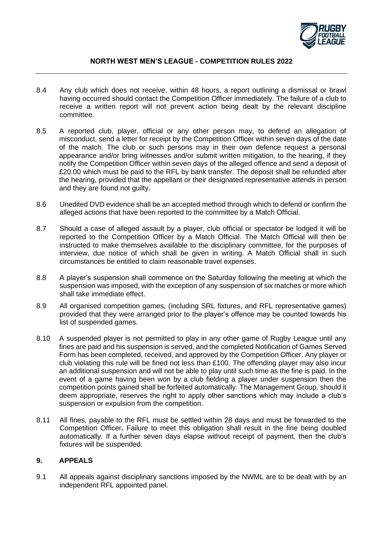

- 8.4 Any club which does not receive, within 48 hours, a report outlining a dismissal or brawl having occurred should contact the Competition Officer immediately. The failure of a club to receive a written report will not prevent action being dealt by the relevant discipline committee.
- 8.5 A reported club, player, official or any other person may, to defend an allegation of misconduct, send a letter for receipt by the Competition Officer within seven days of the date of the match. The club or such persons may in their own defence request a personal appearance and/or bring witnesses and/or submit written mitigation, to the hearing, if they notify the Competition Officer within seven days of the alleged offence and send a deposit of £20.00 which must be paid to the RFL by bank transfer. The deposit shall be refunded after the hearing, provided that the appellant or their designated representative attends in person and they are found not quilty.
- 8.6 Unedited DVD evidence shall be an accepted method through which to defend or confirm the alleged actions that have been reported to the committee by a Match Official.
- 8.7 Should a case of alleged assault by a player, club official or spectator be lodged it will be reported to the Competition Officer by a Match Official. The Match Official will then be instructed to make themselves available to the disciplinary committee, for the purposes of interview, due notice of which shall be given in writing. A Match Official shall in such circumstances be entitled to claim reasonable travel expenses.
- 8.8 A player's suspension shall commence on the Saturday following the meeting at which the suspension was imposed, with the exception of any suspension of six matches or more which shall take immediate effect.
- 8.9 All organised competition games, (including SRL fixtures, and RFL representative games) provided that they were arranged prior to the player's offence may be counted towards his list of suspended games.
- 8.10 A suspended player is not permitted to play in any other game of Rugby League until any fines are paid and his suspension is served, and the completed Notification of Games Served Form has been completed, received, and approved by the Competition Officer. Any player or club violating this rule will be fined not less than £100. The offending player may also incur an additional suspension and will not be able to play until such time as the fine is paid. In the event of a game having been won by a club fielding a player under suspension then the competition points gained shall be forfeited automatically. The Management Group, should it deem appropriate, reserves the right to apply other sanctions which may include a club's suspension or expulsion from the competition.
- 8.11 All fines, payable to the RFL must be settled within 28 days and must be forwarded to the Competition Officer**.** Failure to meet this obligation shall result in the fine being doubled automatically. If a further seven days elapse without receipt of payment, then the club's fixtures will be suspended.

### **9. APPEALS**

9.1 All appeals against disciplinary sanctions imposed by the NWML are to be dealt with by an independent RFL appointed panel.